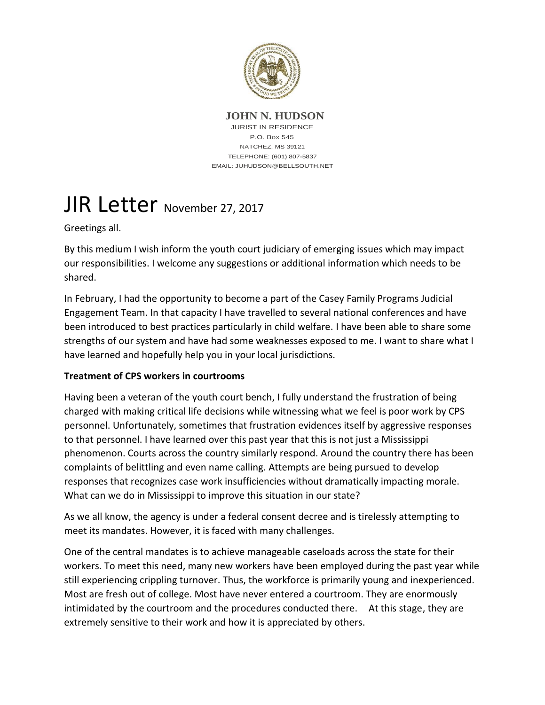

**JOHN N. HUDSON** JURIST IN RESIDENCE P.O. Box 545 NATCHEZ, MS 39121 TELEPHONE: (601) 807-5837 EMAIL: JUHUDSON@BELLSOUTH.NET

## JIR Letter November 27, 2017

Greetings all.

By this medium I wish inform the youth court judiciary of emerging issues which may impact our responsibilities. I welcome any suggestions or additional information which needs to be shared.

In February, I had the opportunity to become a part of the Casey Family Programs Judicial Engagement Team. In that capacity I have travelled to several national conferences and have been introduced to best practices particularly in child welfare. I have been able to share some strengths of our system and have had some weaknesses exposed to me. I want to share what I have learned and hopefully help you in your local jurisdictions.

## **Treatment of CPS workers in courtrooms**

Having been a veteran of the youth court bench, I fully understand the frustration of being charged with making critical life decisions while witnessing what we feel is poor work by CPS personnel. Unfortunately, sometimes that frustration evidences itself by aggressive responses to that personnel. I have learned over this past year that this is not just a Mississippi phenomenon. Courts across the country similarly respond. Around the country there has been complaints of belittling and even name calling. Attempts are being pursued to develop responses that recognizes case work insufficiencies without dramatically impacting morale. What can we do in Mississippi to improve this situation in our state?

As we all know, the agency is under a federal consent decree and is tirelessly attempting to meet its mandates. However, it is faced with many challenges.

One of the central mandates is to achieve manageable caseloads across the state for their workers. To meet this need, many new workers have been employed during the past year while still experiencing crippling turnover. Thus, the workforce is primarily young and inexperienced. Most are fresh out of college. Most have never entered a courtroom. They are enormously intimidated by the courtroom and the procedures conducted there. At this stage, they are extremely sensitive to their work and how it is appreciated by others.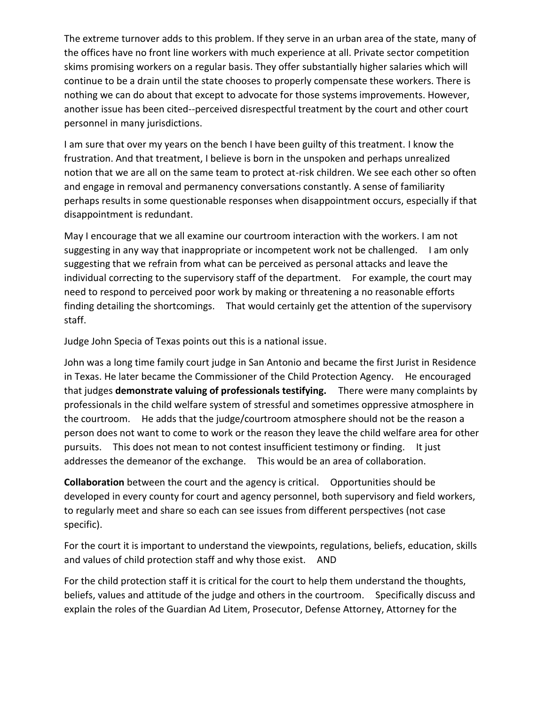The extreme turnover adds to this problem. If they serve in an urban area of the state, many of the offices have no front line workers with much experience at all. Private sector competition skims promising workers on a regular basis. They offer substantially higher salaries which will continue to be a drain until the state chooses to properly compensate these workers. There is nothing we can do about that except to advocate for those systems improvements. However, another issue has been cited--perceived disrespectful treatment by the court and other court personnel in many jurisdictions.

I am sure that over my years on the bench I have been guilty of this treatment. I know the frustration. And that treatment, I believe is born in the unspoken and perhaps unrealized notion that we are all on the same team to protect at-risk children. We see each other so often and engage in removal and permanency conversations constantly. A sense of familiarity perhaps results in some questionable responses when disappointment occurs, especially if that disappointment is redundant.

May I encourage that we all examine our courtroom interaction with the workers. I am not suggesting in any way that inappropriate or incompetent work not be challenged. I am only suggesting that we refrain from what can be perceived as personal attacks and leave the individual correcting to the supervisory staff of the department. For example, the court may need to respond to perceived poor work by making or threatening a no reasonable efforts finding detailing the shortcomings. That would certainly get the attention of the supervisory staff.

Judge John Specia of Texas points out this is a national issue.

John was a long time family court judge in San Antonio and became the first Jurist in Residence in Texas. He later became the Commissioner of the Child Protection Agency. He encouraged that judges **demonstrate valuing of professionals testifying.** There were many complaints by professionals in the child welfare system of stressful and sometimes oppressive atmosphere in the courtroom. He adds that the judge/courtroom atmosphere should not be the reason a person does not want to come to work or the reason they leave the child welfare area for other pursuits. This does not mean to not contest insufficient testimony or finding. It just addresses the demeanor of the exchange. This would be an area of collaboration.

**Collaboration** between the court and the agency is critical. Opportunities should be developed in every county for court and agency personnel, both supervisory and field workers, to regularly meet and share so each can see issues from different perspectives (not case specific).

For the court it is important to understand the viewpoints, regulations, beliefs, education, skills and values of child protection staff and why those exist. AND

For the child protection staff it is critical for the court to help them understand the thoughts, beliefs, values and attitude of the judge and others in the courtroom. Specifically discuss and explain the roles of the Guardian Ad Litem, Prosecutor, Defense Attorney, Attorney for the